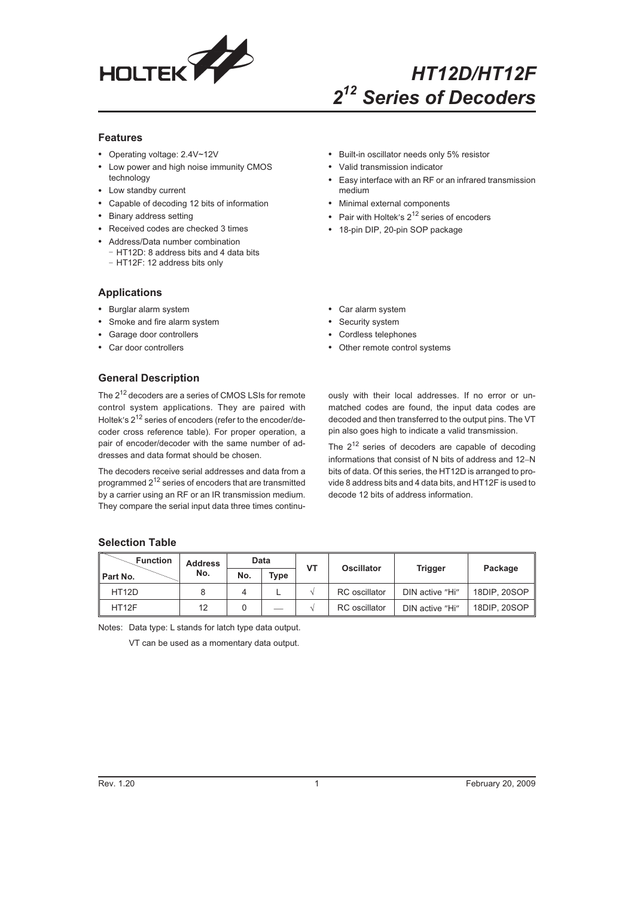

# *HT12D/HT12F 2<sup>12</sup> Series of Decoders*

## **Features**

- Operating voltage: 2.4V~12V
- Low power and high noise immunity CMOS technology
- Low standby current
- Capable of decoding 12 bits of information
- Binary address setting
- Received codes are checked 3 times
- Address/Data number combination - HT12D: 8 address bits and 4 data bits
	- HT12F: 12 address bits only

## **Applications**

- Burglar alarm system
- Smoke and fire alarm system
- Garage door controllers
- Car door controllers

## **General Description**

The 2<sup>12</sup> decoders are a series of CMOS LSIs for remote control system applications. They are paired with Holtek's  $2^{12}$  series of encoders (refer to the encoder/decoder cross reference table). For proper operation, a pair of encoder/decoder with the same number of addresses and data format should be chosen.

The decoders receive serial addresses and data from a programmed  $2^{12}$  series of encoders that are transmitted by a carrier using an RF or an IR transmission medium. They compare the serial input data three times continu-

- Built-in oscillator needs only 5% resistor
- Valid transmission indicator
- Easy interface with an RF or an infrared transmission medium
- Minimal external components
- Pair with Holtek's  $2^{12}$  series of encoders
- 18-pin DIP, 20-pin SOP package
- Car alarm system
- Security system
- Cordless telephones
- Other remote control systems

ously with their local addresses. If no error or unmatched codes are found, the input data codes are decoded and then transferred to the output pins. The VT pin also goes high to indicate a valid transmission.

The  $2^{12}$  series of decoders are capable of decoding informations that consist of N bits of address and 12-N bits of data. Of this series, the HT12D is arranged to provide 8 address bits and 4 data bits, and HT12F is used to decode 12 bits of address information.

## **Selection Table**

| <b>Function</b>    | <b>Address</b> |     | Data        | VT | <b>Oscillator</b>    |                 | Package      |
|--------------------|----------------|-----|-------------|----|----------------------|-----------------|--------------|
| Part No.           | No.            | No. | <b>Type</b> |    |                      | Trigger         |              |
| HT <sub>12</sub> D |                |     |             |    | <b>RC</b> oscillator | DIN active "Hi" | 18DIP, 20SOP |
| HT <sub>12F</sub>  | 12             |     | __          |    | <b>RC</b> oscillator | DIN active "Hi" | 18DIP, 20SOP |

Notes: Data type: L stands for latch type data output.

VT can be used as a momentary data output.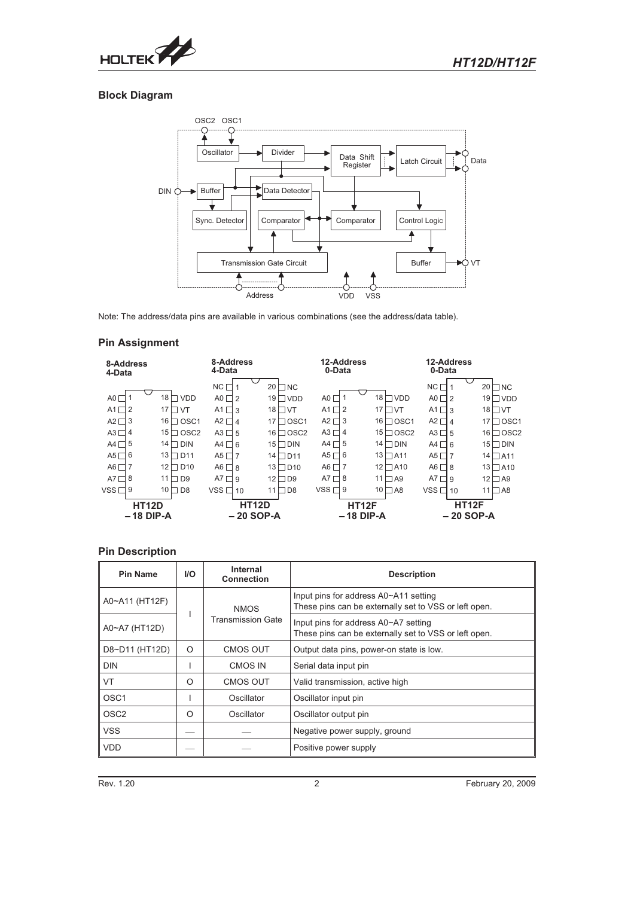

## **Block Diagram**



Note: The address/data pins are available in various combinations (see the address/data table).

## **Pin Assignment**

| 8-Address<br>4-Data         |                              | 8-Address<br>4-Data         |                       | 12-Address<br>0-Data        |                        | 12-Address<br>0-Data        |                                     |
|-----------------------------|------------------------------|-----------------------------|-----------------------|-----------------------------|------------------------|-----------------------------|-------------------------------------|
|                             |                              | $NC \square 1$              | $20$ NC               |                             |                        | NC                          | 20<br>$\Box$ NC                     |
| AO                          | 18 $\Box$<br><b>VDD</b>      | $AO \square$ 2              | $19$ $\Box$ VDD       | A0 <sub>1</sub>             | $18$ N VDD             | $AO \square 2$              | $19$ $\Box$ VDD                     |
| A1 $\Box$                   | 17 <sup>1</sup><br>VT        | A1 $\Box$ 3                 | $18$ TVT              | A1<br>□2                    | 17 <sup>1</sup><br>ПVТ | $A1 \square 3$              | 18 <sup>1</sup><br>$\sqcap$ vt      |
| $A2\square$<br>3            | 16 l<br>OSC <sub>1</sub>     | $A2 \Box 4$                 | 17<br>$\Box$ OSC1     | $A2 \square$ 3              | $16 \square$ OSC1      | $A2 \Box 4$                 | 17<br><b>OSC1</b>                   |
| $A3\Box$<br>4               | 15<br>OSC <sub>2</sub>       | $A3 \Box 5$                 | $16 \square$ OSC2     | $A3 \Box 4$                 | $15 \square$ OSC2      | $A3 \Box 5$                 | 16 <sup>1</sup><br>$\sqsupset$ OSC2 |
| 5<br>A4 $\Box$              | 14 $\Box$<br><b>DIN</b>      | $AA \Box 6$                 | 15 I<br>$\square$ DIN | A4 $\Box$ 5                 | $14$ DIN               | $AA \Box 6$                 | 15 <sub>1</sub><br>$\Box$ DIN       |
| A5 $\Box$<br>6              | 13 $\Box$<br>D <sub>11</sub> | A5 $\Pi$ 7                  | $14 \square D11$      | A <sub>5</sub> r<br>ヿ 6     | $13 \square$ A11       | A5 $\Pi$ 7                  | $14 \square$ A11                    |
| AG                          | $12 \square D10$             | $AG \Box 8$                 | $\square$ D10<br>13 I | A <sub>6</sub> r            | $12$ $\Box$ A10        | $AG \Box 8$                 | 13 <sub>l</sub><br>$\Box$ A10       |
| $AT$ $\Box$<br>8            | 11 l<br>D <sub>9</sub>       | $AT \Box 9$                 | 12<br>$\sqcap$ D9     | A7<br>⊣ 8                   | $11 \square$ A9        | A7<br>$\Box$ 9              | 12 <sub>1</sub><br>$\Box$ A9        |
| $VSS\Box$<br>9              | 10 <sup>1</sup><br>$\Box$ D8 | $VSS \Box 10$               | 11<br>$\neg$ D8       | $VSS\Box$<br>9              | $10 \square$ A8        | $VSS \Box 10$               | 11<br>$\Box$ A8                     |
| <b>HT12D</b><br>$-18$ DIP-A |                              | <b>HT12D</b><br>$-20$ SOP-A |                       | <b>HT12F</b><br>$-18$ DIP-A |                        | <b>HT12F</b><br>$-20$ SOP-A |                                     |

## **Pin Description**

| <b>Pin Name</b>  | <b>I/O</b> | Internal<br><b>Connection</b> | <b>Description</b>                                                                             |  |
|------------------|------------|-------------------------------|------------------------------------------------------------------------------------------------|--|
| A0~A11 (HT12F)   |            | <b>NMOS</b>                   | Input pins for address A0~A11 setting<br>These pins can be externally set to VSS or left open. |  |
| A0~A7 (HT12D)    |            | <b>Transmission Gate</b>      | Input pins for address A0~A7 setting<br>These pins can be externally set to VSS or left open.  |  |
| D8~D11 (HT12D)   | $\Omega$   | <b>CMOS OUT</b>               | Output data pins, power-on state is low.                                                       |  |
| <b>DIN</b>       |            | CMOS IN                       | Serial data input pin                                                                          |  |
| <b>VT</b>        | $\Omega$   | <b>CMOS OUT</b>               | Valid transmission, active high                                                                |  |
| OSC <sub>1</sub> |            | Oscillator                    | Oscillator input pin                                                                           |  |
| OSC <sub>2</sub> | Ω          | Oscillator                    | Oscillator output pin                                                                          |  |
| <b>VSS</b>       |            |                               | Negative power supply, ground                                                                  |  |
| <b>VDD</b>       |            |                               | Positive power supply                                                                          |  |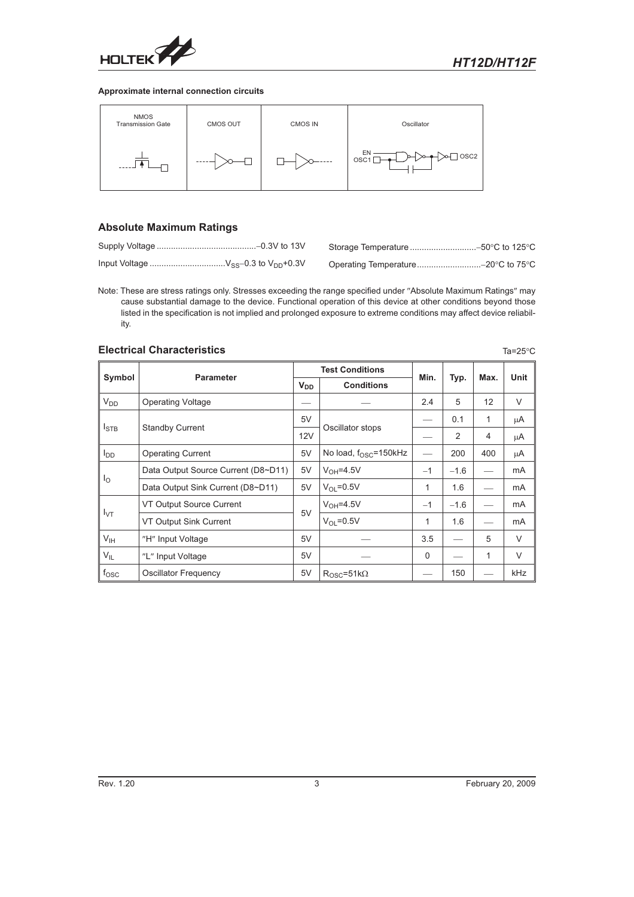

#### **Approximate internal connection circuits**



## **Absolute Maximum Ratings**

Note: These are stress ratings only. Stresses exceeding the range specified under "Absolute Maximum Ratings" may cause substantial damage to the device. Functional operation of this device at other conditions beyond those listed in the specification is not implied and prolonged exposure to extreme conditions may affect device reliability.

## **Electrical Characteristics** Tasks and Tasks and Tasks and Tasks and Tasks and Tasks and Tasks and Tasks and Tasks and Tasks and Tasks and Tasks and Tasks and Tasks and Tasks and Tasks and Tasks and Tasks and Tasks and Tas

|                  |                                     |    | <b>Test Conditions</b>                     | Min.     |        |                |             |
|------------------|-------------------------------------|----|--------------------------------------------|----------|--------|----------------|-------------|
| Symbol           | <b>Parameter</b>                    |    | <b>V<sub>DD</sub></b><br><b>Conditions</b> |          | Typ.   | Max.           | <b>Unit</b> |
| V <sub>DD</sub>  | <b>Operating Voltage</b>            |    |                                            | 2.4      | 5      | 12             | V           |
|                  |                                     | 5V |                                            |          | 0.1    | 1              | μA          |
| $I_{\text{STB}}$ | <b>Standby Current</b>              |    | Oscillator stops                           |          | 2      | $\overline{4}$ | μA          |
| $I_{DD}$         | <b>Operating Current</b>            |    | No load, $f_{OSC} = 150kHz$                |          | 200    | 400            | μA          |
|                  | Data Output Source Current (D8~D11) | 5V | $V_{OH} = 4.5V$                            | $-1$     | $-1.6$ |                | mA          |
| $I_{\rm O}$      | Data Output Sink Current (D8~D11)   | 5V | $V_{\Omega}$ = 0.5 V                       |          | 1.6    |                | mA          |
|                  | VT Output Source Current            |    | $V_{OH} = 4.5V$                            | $-1$     | $-1.6$ |                | mA          |
| $I_{\text{VT}}$  | VT Output Sink Current              | 5V | $V_{\Omega}$ = 0.5 V                       | 1        | 1.6    |                | mA          |
| V <sub>IH</sub>  | "H" Input Voltage                   | 5V |                                            | 3.5      |        | 5              | $\vee$      |
| $V_{IL}$         | "L" Input Voltage                   | 5V |                                            | $\Omega$ |        | 1              | $\vee$      |
| $f_{\rm OSC}$    | <b>Oscillator Frequency</b>         | 5V | $R_{OSC} = 51k\Omega$                      |          | 150    |                | kHz         |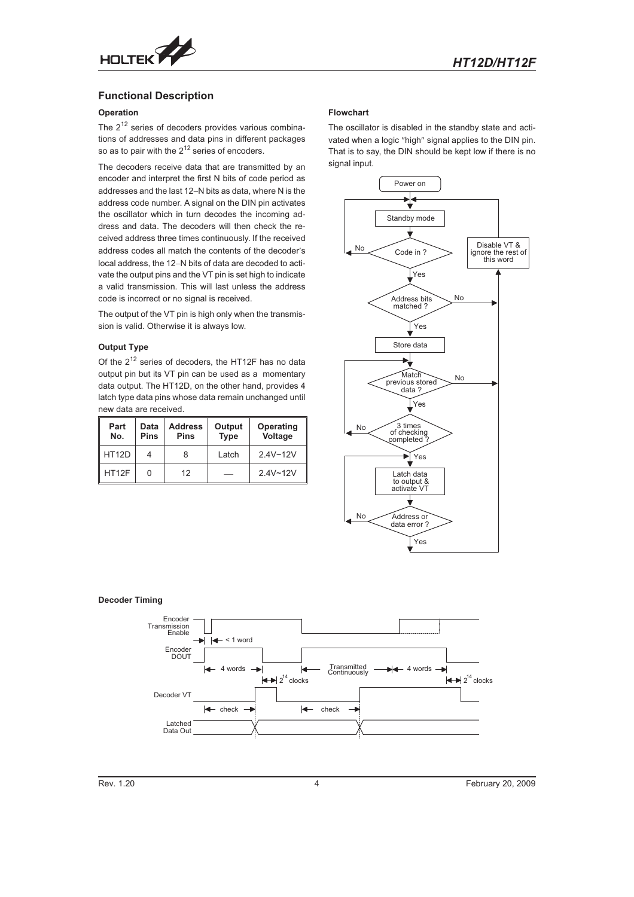

## **Functional Description**

## **Operation**

The  $2^{12}$  series of decoders provides various combinations of addresses and data pins in different packages so as to pair with the  $2^{12}$  series of encoders.

The decoders receive data that are transmitted by an encoder and interpret the first N bits of code period as addresses and the last 12-N bits as data, where N is the address code number. A signal on the DIN pin activates the oscillator which in turn decodes the incoming address and data. The decoders will then check the received address three times continuously. If the received address codes all match the contents of the decoder's local address, the 12-N bits of data are decoded to activate the output pins and the VT pin is set high to indicate a valid transmission. This will last unless the address code is incorrect or no signal is received.

The output of the VT pin is high only when the transmission is valid. Otherwise it is always low.

#### **Output Type**

Of the 212 series of decoders, the HT12F has no data output pin but its VT pin can be used as a momentary data output. The HT12D, on the other hand, provides 4 latch type data pins whose data remain unchanged until new data are received.

| Part<br>No.        | Data<br><b>Pins</b> | <b>Address</b><br><b>Pins</b> | Output<br><b>Type</b> | Operating<br>Voltage |
|--------------------|---------------------|-------------------------------|-----------------------|----------------------|
| HT <sub>12</sub> D | 4                   | 8                             | Latch                 | $2.4V - 12V$         |
| HT12F              | 0                   | 12                            |                       | $2.4V - 12V$         |

#### **Flowchart**

The oscillator is disabled in the standby state and activated when a logic "high" signal applies to the DIN pin. That is to say, the DIN should be kept low if there is no signal input.



### **Decoder Timing**

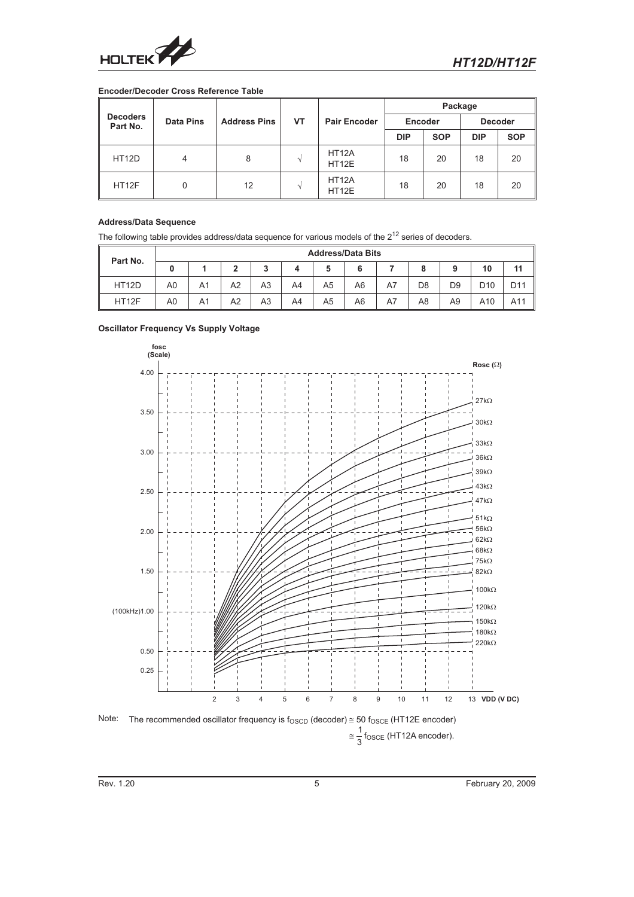

## **Encoder/Decoder Cross Reference Table**

|                             |                  |                     |    |                                          | Package    |            |                |            |
|-----------------------------|------------------|---------------------|----|------------------------------------------|------------|------------|----------------|------------|
| <b>Decoders</b><br>Part No. | <b>Data Pins</b> | <b>Address Pins</b> | VT | <b>Pair Encoder</b>                      | Encoder    |            | <b>Decoder</b> |            |
|                             |                  |                     |    |                                          | <b>DIP</b> | <b>SOP</b> | <b>DIP</b>     | <b>SOP</b> |
| HT <sub>12</sub> D          | 4                | 8                   |    | HT <sub>12</sub> A<br>HT <sub>12E</sub>  | 18         | 20         | 18             | 20         |
| HT12F                       | 0                | 12                  |    | HT <sub>12</sub> A<br>HT <sub>12</sub> E | 18         | 20         | 18             | 20         |

## **Address/Data Sequence**

The following table provides address/data sequence for various models of the  $2^{12}$  series of decoders.

| Part No.     | <b>Address/Data Bits</b> |    |    |    |    |                |    |    |                |                |                 |                 |
|--------------|--------------------------|----|----|----|----|----------------|----|----|----------------|----------------|-----------------|-----------------|
|              | 0                        |    | າ  | 3  | 4  |                | 6  |    | 8              | 9              | 10              | 11              |
| <b>HT12D</b> | A <sub>0</sub>           | A1 | A2 | A3 | A4 | A <sub>5</sub> | A6 | A7 | D <sub>8</sub> | D <sub>9</sub> | D <sub>10</sub> | D <sub>11</sub> |
| HT12F        | A <sub>0</sub>           | A1 | A2 | A3 | A4 | A <sub>5</sub> | A6 | A7 | A <sub>8</sub> | A9             | A10             | A11             |

#### **Oscillator Frequency Vs Supply Voltage**

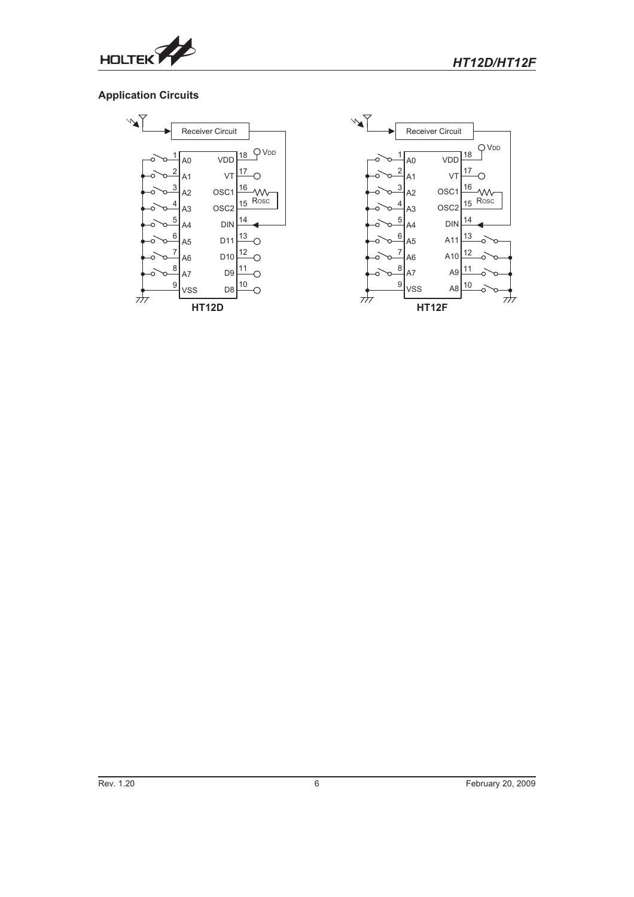

## **Application Circuits**

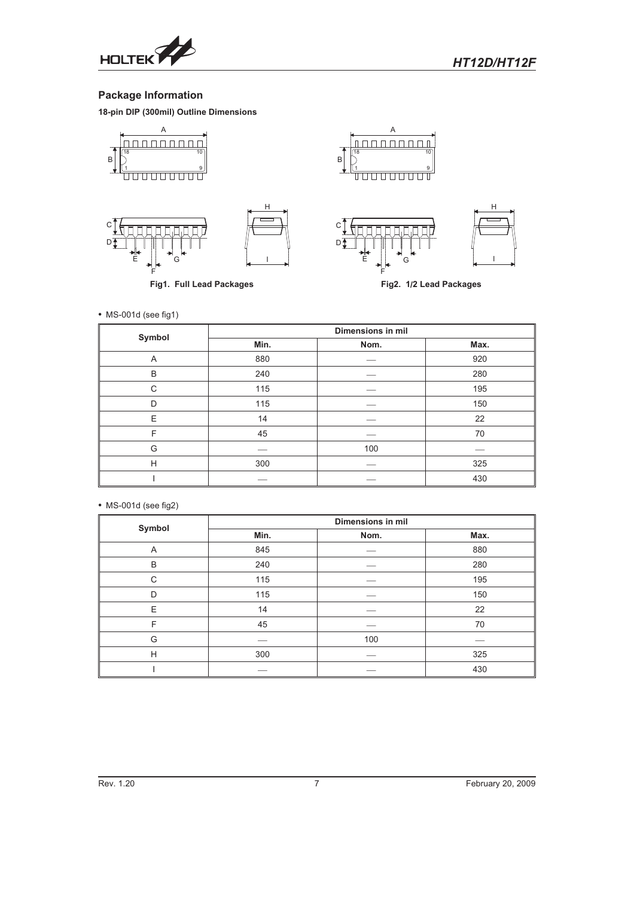

## **Package Information**

**18-pin DIP (300mil) Outline Dimensions**



**Fig1. Full Lead Packages**

**Fig2. 1/2 Lead Packages**

• MS-001d (see fig1)

| Symbol |      | <b>Dimensions in mil</b> |      |
|--------|------|--------------------------|------|
|        | Min. | Nom.                     | Max. |
| Α      | 880  |                          | 920  |
| B      | 240  |                          | 280  |
| C      | 115  |                          | 195  |
| D      | 115  |                          | 150  |
| E      | 14   |                          | 22   |
| F      | 45   |                          | 70   |
| G      |      | 100                      |      |
| H      | 300  |                          | 325  |
|        |      |                          | 430  |

- MS-001d (see fig2)

| Symbol |      | <b>Dimensions in mil</b> |      |  |
|--------|------|--------------------------|------|--|
|        | Min. | Nom.                     | Max. |  |
| Α      | 845  |                          | 880  |  |
| B      | 240  |                          | 280  |  |
| C      | 115  |                          | 195  |  |
| D      | 115  |                          | 150  |  |
| E      | 14   |                          | 22   |  |
| F      | 45   |                          | 70   |  |
| G      |      | 100                      |      |  |
| H      | 300  |                          | 325  |  |
|        |      |                          | 430  |  |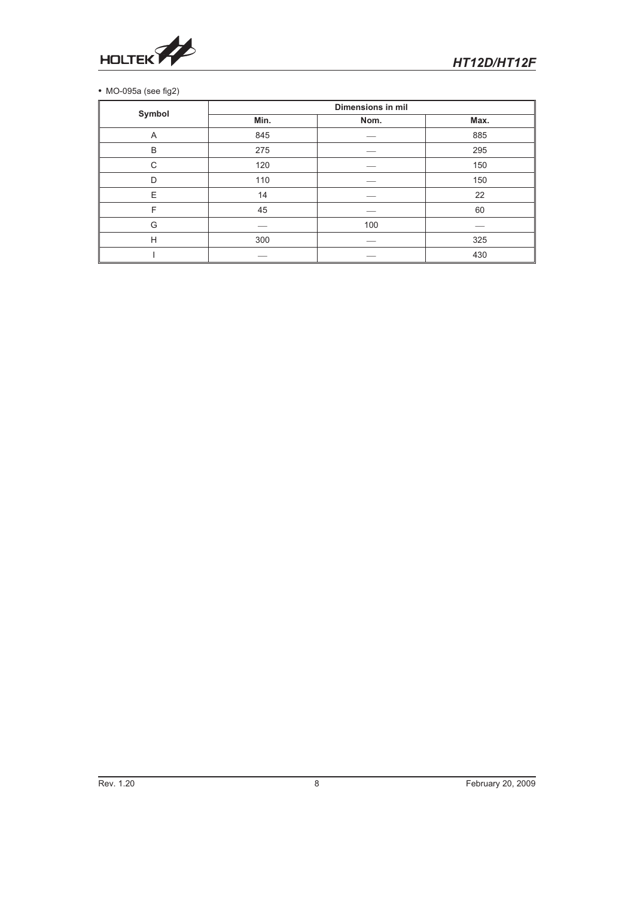

## MO-095a (see fig2)

| Symbol |      | <b>Dimensions in mil</b> |      |
|--------|------|--------------------------|------|
|        | Min. | Nom.                     | Max. |
| A      | 845  |                          | 885  |
| B      | 275  |                          | 295  |
| C      | 120  |                          | 150  |
| D      | 110  |                          | 150  |
| E      | 14   |                          | 22   |
| F      | 45   |                          | 60   |
| G      |      | 100                      |      |
| H      | 300  |                          | 325  |
|        |      |                          | 430  |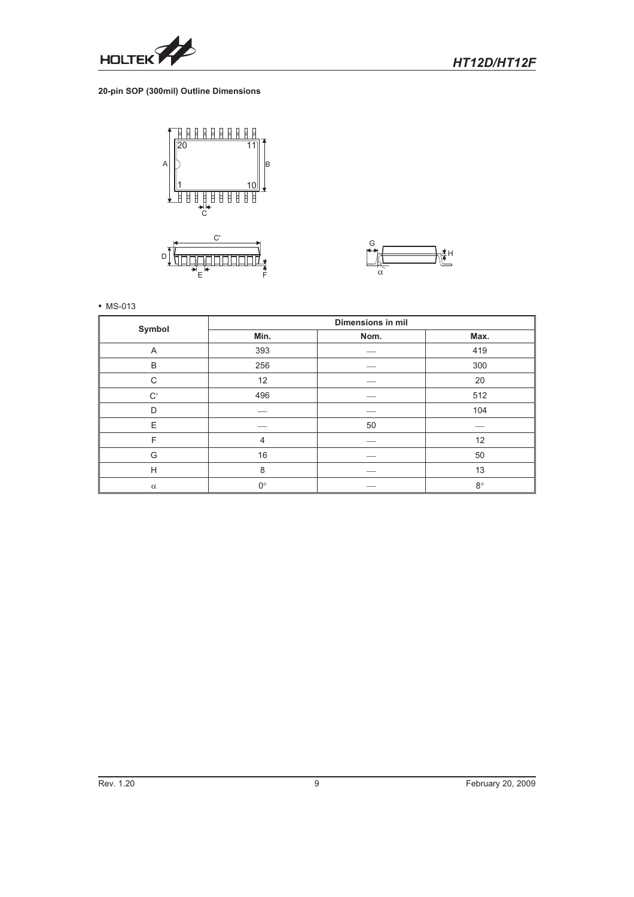

## **20-pin SOP (300mil) Outline Dimensions**



 $\mathsf E$  and  $\mathsf E$  and  $\mathsf E$  and  $\mathsf E$ 



• MS-013

| Symbol         |             | <b>Dimensions in mil</b> |             |
|----------------|-------------|--------------------------|-------------|
|                | Min.        | Nom.                     | Max.        |
| $\overline{A}$ | 393         |                          | 419         |
| B              | 256         |                          | 300         |
| C              | 12          |                          | 20          |
| $\mathrm{C}'$  | 496         |                          | 512         |
| D              |             |                          | 104         |
| Ε              |             | 50                       |             |
| F              | 4           |                          | 12          |
| G              | 16          |                          | 50          |
| Н              | 8           |                          | 13          |
| $\alpha$       | $0^{\circ}$ |                          | $8^{\circ}$ |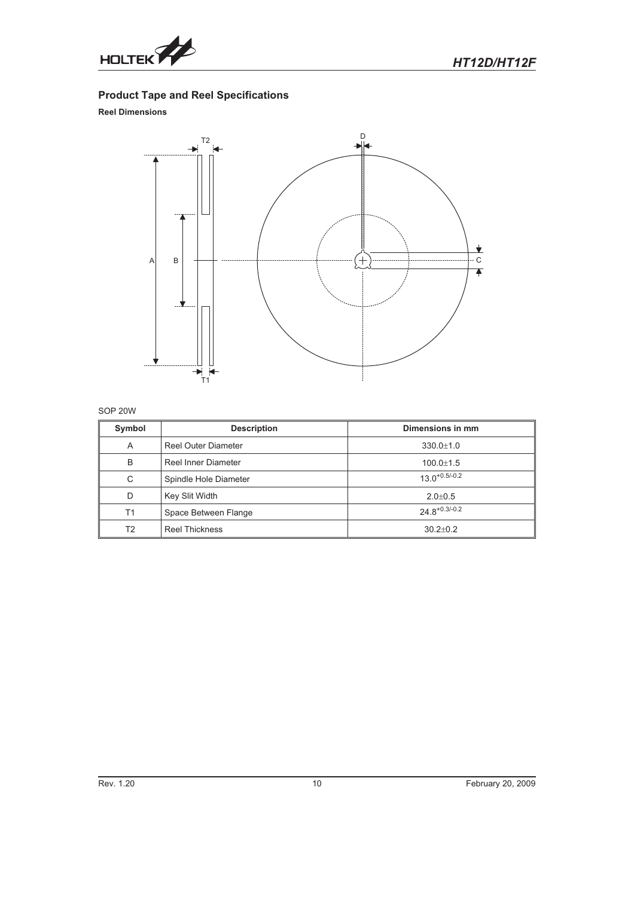

## **Product Tape and Reel Specifications**

## **Reel Dimensions**



## SOP 20W

| Symbol         | <b>Description</b>         | Dimensions in mm   |
|----------------|----------------------------|--------------------|
| A              | <b>Reel Outer Diameter</b> | $330.0 \pm 1.0$    |
| B              | Reel Inner Diameter        | $100.0 \pm 1.5$    |
| C              | Spindle Hole Diameter      | $13.0^{+0.5/-0.2}$ |
| D              | Key Slit Width             | $2.0 \pm 0.5$      |
| T1             | Space Between Flange       | $24.8^{+0.3/-0.2}$ |
| T <sub>2</sub> | <b>Reel Thickness</b>      | $30.2 + 0.2$       |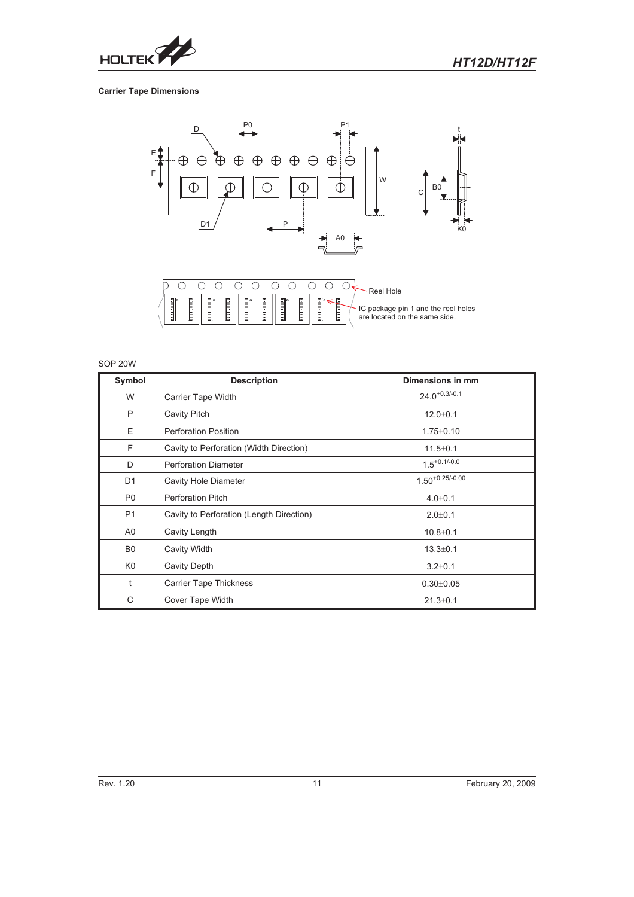

## **Carrier Tape Dimensions**



## SOP 20W

| Symbol         | <b>Description</b>                       | Dimensions in mm     |
|----------------|------------------------------------------|----------------------|
| W              | Carrier Tape Width                       | $24.0^{+0.3/-0.1}$   |
| P              | Cavity Pitch                             | $12.0 + 0.1$         |
| E              | <b>Perforation Position</b>              | $1.75 \pm 0.10$      |
| F              | Cavity to Perforation (Width Direction)  | $11.5 \pm 0.1$       |
| D              | <b>Perforation Diameter</b>              | $1.5^{+0.1/-0.0}$    |
| D <sub>1</sub> | <b>Cavity Hole Diameter</b>              | $1.50^{+0.25/-0.00}$ |
| P <sub>0</sub> | <b>Perforation Pitch</b>                 | $4.0 \pm 0.1$        |
| <b>P1</b>      | Cavity to Perforation (Length Direction) | $2.0 + 0.1$          |
| A <sub>0</sub> | Cavity Length                            | $10.8 + 0.1$         |
| B <sub>0</sub> | Cavity Width                             | $13.3 \pm 0.1$       |
| K <sub>0</sub> | Cavity Depth                             | $3.2 \pm 0.1$        |
| t              | <b>Carrier Tape Thickness</b>            | $0.30 \pm 0.05$      |
| C              | Cover Tape Width                         | $21.3 \pm 0.1$       |